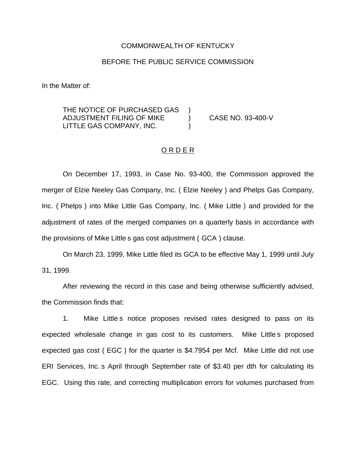### COMMONWEALTH OF KENTUCKY

## BEFORE THE PUBLIC SERVICE COMMISSION

In the Matter of:

THE NOTICE OF PURCHASED GAS ADJUSTMENT FILING OF MIKE ) CASE NO. 93-400-V LITTLE GAS COMPANY, INC.

### ORDER

On December 17, 1993, in Case No. 93-400, the Commission approved the merger of Elzie Neeley Gas Company, Inc. ( Elzie Neeley ) and Phelps Gas Company, Inc. ( Phelps ) into Mike Little Gas Company, Inc. ( Mike Little ) and provided for the adjustment of rates of the merged companies on a quarterly basis in accordance with the provisions of Mike Little s gas cost adjustment ( GCA ) clause.

On March 23, 1999, Mike Little filed its GCA to be effective May 1, 1999 until July 31, 1999.

After reviewing the record in this case and being otherwise sufficiently advised, the Commission finds that:

1. Mike Little s notice proposes revised rates designed to pass on its expected wholesale change in gas cost to its customers. Mike Little s proposed expected gas cost ( EGC ) for the quarter is \$4.7954 per Mcf. Mike Little did not use ERI Services, Inc. s April through September rate of \$3.40 per dth for calculating its EGC. Using this rate, and correcting multiplication errors for volumes purchased from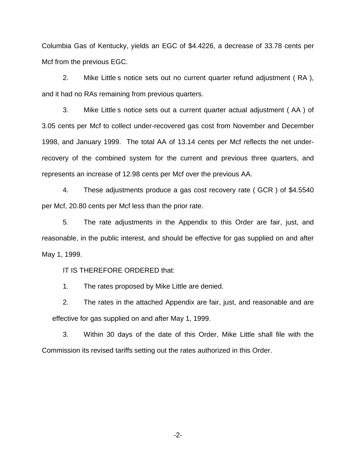Columbia Gas of Kentucky, yields an EGC of \$4.4226, a decrease of 33.78 cents per Mcf from the previous EGC.

2. Mike Little s notice sets out no current quarter refund adjustment ( RA ), and it had no RAs remaining from previous quarters.

3. Mike Little s notice sets out a current quarter actual adjustment ( AA ) of 3.05 cents per Mcf to collect under-recovered gas cost from November and December 1998, and January 1999. The total AA of 13.14 cents per Mcf reflects the net underrecovery of the combined system for the current and previous three quarters, and represents an increase of 12.98 cents per Mcf over the previous AA.

4. These adjustments produce a gas cost recovery rate ( GCR ) of \$4.5540 per Mcf, 20.80 cents per Mcf less than the prior rate.

5. The rate adjustments in the Appendix to this Order are fair, just, and reasonable, in the public interest, and should be effective for gas supplied on and after May 1, 1999.

IT IS THEREFORE ORDERED that:

1. The rates proposed by Mike Little are denied.

2. The rates in the attached Appendix are fair, just, and reasonable and are effective for gas supplied on and after May 1, 1999.

3. Within 30 days of the date of this Order, Mike Little shall file with the Commission its revised tariffs setting out the rates authorized in this Order.

-2-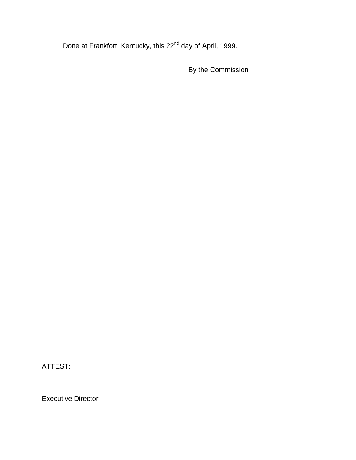Done at Frankfort, Kentucky, this 22<sup>nd</sup> day of April, 1999.

By the Commission

ATTEST:

\_\_\_\_\_\_\_\_\_\_\_\_\_\_\_\_\_\_\_ Executive Director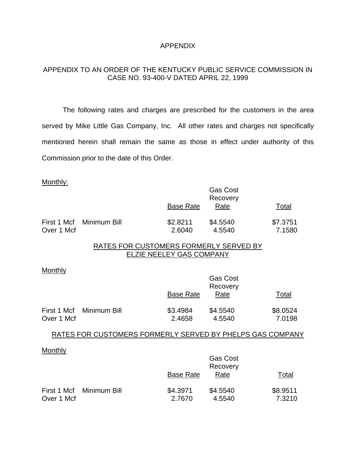## APPENDIX

# APPENDIX TO AN ORDER OF THE KENTUCKY PUBLIC SERVICE COMMISSION IN CASE NO. 93-400-V DATED APRIL 22, 1999

The following rates and charges are prescribed for the customers in the area served by Mike Little Gas Company, Inc. All other rates and charges not specifically mentioned herein shall remain the same as those in effect under authority of this Commission prior to the date of this Order.

#### Monthly:

|            |                          | <b>Base Rate</b>   | <b>Gas Cost</b><br>Recovery<br>Rate | Total              |
|------------|--------------------------|--------------------|-------------------------------------|--------------------|
| Over 1 Mcf | First 1 Mcf Minimum Bill | \$2.8211<br>2.6040 | \$4.5540<br>4.5540                  | \$7.3751<br>7.1580 |

# RATES FOR CUSTOMERS FORMERLY SERVED BY ELZIE NEELEY GAS COMPANY

#### **Monthly**

|            |                          |                  | <b>Gas Cost</b><br>Recovery |          |
|------------|--------------------------|------------------|-----------------------------|----------|
|            |                          | <b>Base Rate</b> | Rate                        | Total    |
|            | First 1 Mcf Minimum Bill | \$3.4984         | \$4.5540                    | \$8.0524 |
| Over 1 Mcf |                          | 2.4658           | 4.5540                      | 7.0198   |

#### RATES FOR CUSTOMERS FORMERLY SERVED BY PHELPS GAS COMPANY

## **Monthly**

|            |                          |                  | <b>Gas Cost</b><br>Recovery |          |
|------------|--------------------------|------------------|-----------------------------|----------|
|            |                          | <b>Base Rate</b> | Rate                        | Total    |
|            | First 1 Mcf Minimum Bill | \$4.3971         | \$4.5540                    | \$8.9511 |
| Over 1 Mcf |                          | 2.7670           | 4.5540                      | 7.3210   |